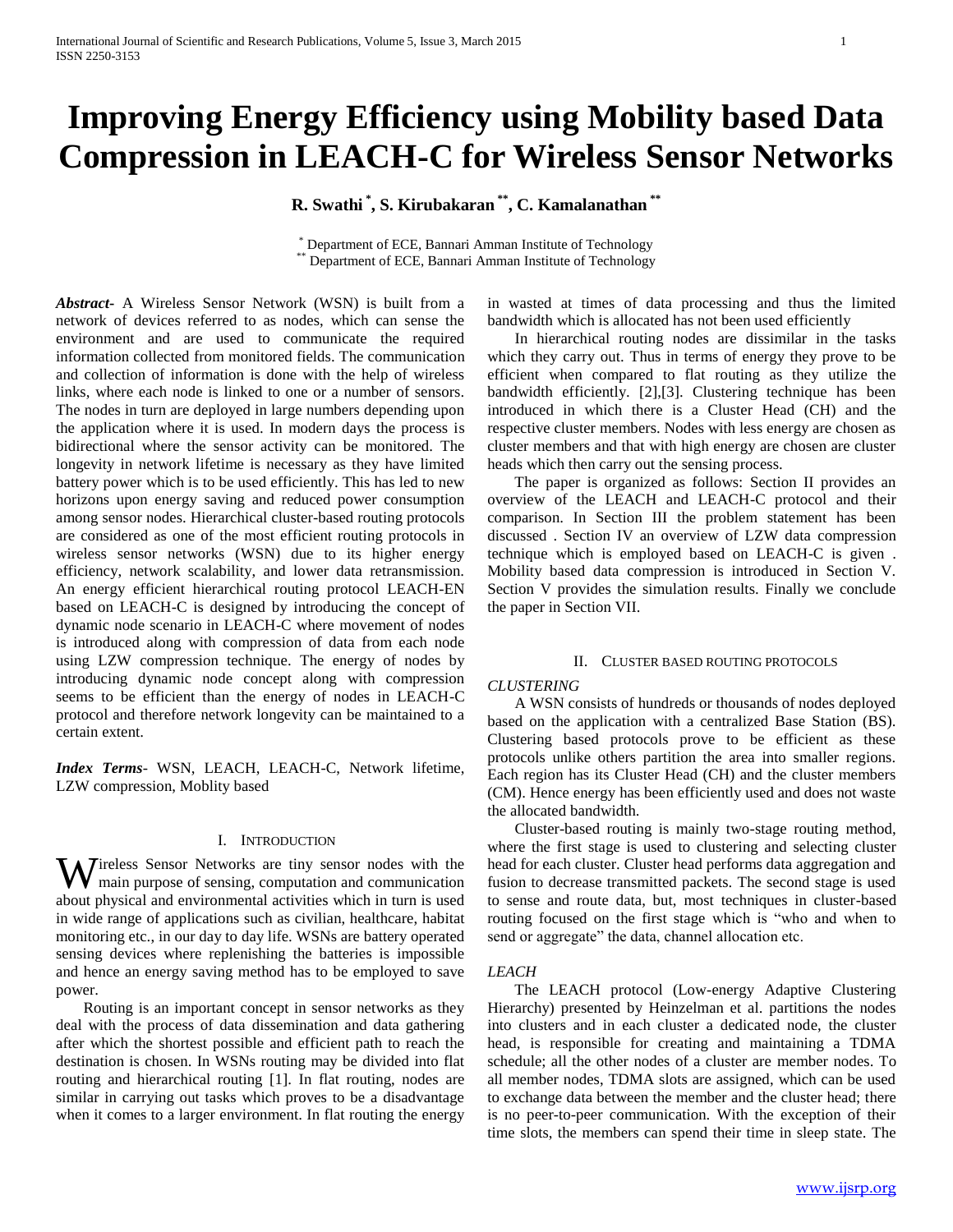# **Improving Energy Efficiency using Mobility based Data Compression in LEACH-C for Wireless Sensor Networks**

**R. Swathi \* , S. Kirubakaran \*\*, C. Kamalanathan \*\***

\* Department of ECE, Bannari Amman Institute of Technology Department of ECE, Bannari Amman Institute of Technology

*Abstract***-** A Wireless Sensor Network (WSN) is built from a network of devices referred to as nodes, which can sense the environment and are used to communicate the required information collected from monitored fields. The communication and collection of information is done with the help of wireless links, where each node is linked to one or a number of sensors. The nodes in turn are deployed in large numbers depending upon the application where it is used. In modern days the process is bidirectional where the sensor activity can be monitored. The longevity in network lifetime is necessary as they have limited battery power which is to be used efficiently. This has led to new horizons upon energy saving and reduced power consumption among sensor nodes. Hierarchical cluster-based routing protocols are considered as one of the most efficient routing protocols in wireless sensor networks (WSN) due to its higher energy efficiency, network scalability, and lower data retransmission. An energy efficient hierarchical routing protocol LEACH-EN based on LEACH-C is designed by introducing the concept of dynamic node scenario in LEACH-C where movement of nodes is introduced along with compression of data from each node using LZW compression technique. The energy of nodes by introducing dynamic node concept along with compression seems to be efficient than the energy of nodes in LEACH-C protocol and therefore network longevity can be maintained to a certain extent.

*Index Terms*- WSN, LEACH, LEACH-C, Network lifetime, LZW compression, Moblity based

# I. INTRODUCTION

Wireless Sensor Networks are tiny sensor nodes with the main purpose of sensing, computation and communication main purpose of sensing, computation and communication about physical and environmental activities which in turn is used in wide range of applications such as civilian, healthcare, habitat monitoring etc., in our day to day life. WSNs are battery operated sensing devices where replenishing the batteries is impossible and hence an energy saving method has to be employed to save power.

 Routing is an important concept in sensor networks as they deal with the process of data dissemination and data gathering after which the shortest possible and efficient path to reach the destination is chosen. In WSNs routing may be divided into flat routing and hierarchical routing [1]. In flat routing, nodes are similar in carrying out tasks which proves to be a disadvantage when it comes to a larger environment. In flat routing the energy in wasted at times of data processing and thus the limited bandwidth which is allocated has not been used efficiently

 In hierarchical routing nodes are dissimilar in the tasks which they carry out. Thus in terms of energy they prove to be efficient when compared to flat routing as they utilize the bandwidth efficiently. [2],[3]. Clustering technique has been introduced in which there is a Cluster Head (CH) and the respective cluster members. Nodes with less energy are chosen as cluster members and that with high energy are chosen are cluster heads which then carry out the sensing process.

 The paper is organized as follows: Section II provides an overview of the LEACH and LEACH-C protocol and their comparison. In Section III the problem statement has been discussed . Section IV an overview of LZW data compression technique which is employed based on LEACH-C is given . Mobility based data compression is introduced in Section V. Section V provides the simulation results. Finally we conclude the paper in Section VII.

## II. CLUSTER BASED ROUTING PROTOCOLS

#### *CLUSTERING*

 A WSN consists of hundreds or thousands of nodes deployed based on the application with a centralized Base Station (BS). Clustering based protocols prove to be efficient as these protocols unlike others partition the area into smaller regions. Each region has its Cluster Head (CH) and the cluster members (CM). Hence energy has been efficiently used and does not waste the allocated bandwidth.

 Cluster-based routing is mainly two-stage routing method, where the first stage is used to clustering and selecting cluster head for each cluster. Cluster head performs data aggregation and fusion to decrease transmitted packets. The second stage is used to sense and route data, but, most techniques in cluster-based routing focused on the first stage which is "who and when to send or aggregate" the data, channel allocation etc.

## *LEACH*

 The LEACH protocol (Low-energy Adaptive Clustering Hierarchy) presented by Heinzelman et al. partitions the nodes into clusters and in each cluster a dedicated node, the cluster head, is responsible for creating and maintaining a TDMA schedule; all the other nodes of a cluster are member nodes. To all member nodes, TDMA slots are assigned, which can be used to exchange data between the member and the cluster head; there is no peer-to-peer communication. With the exception of their time slots, the members can spend their time in sleep state. The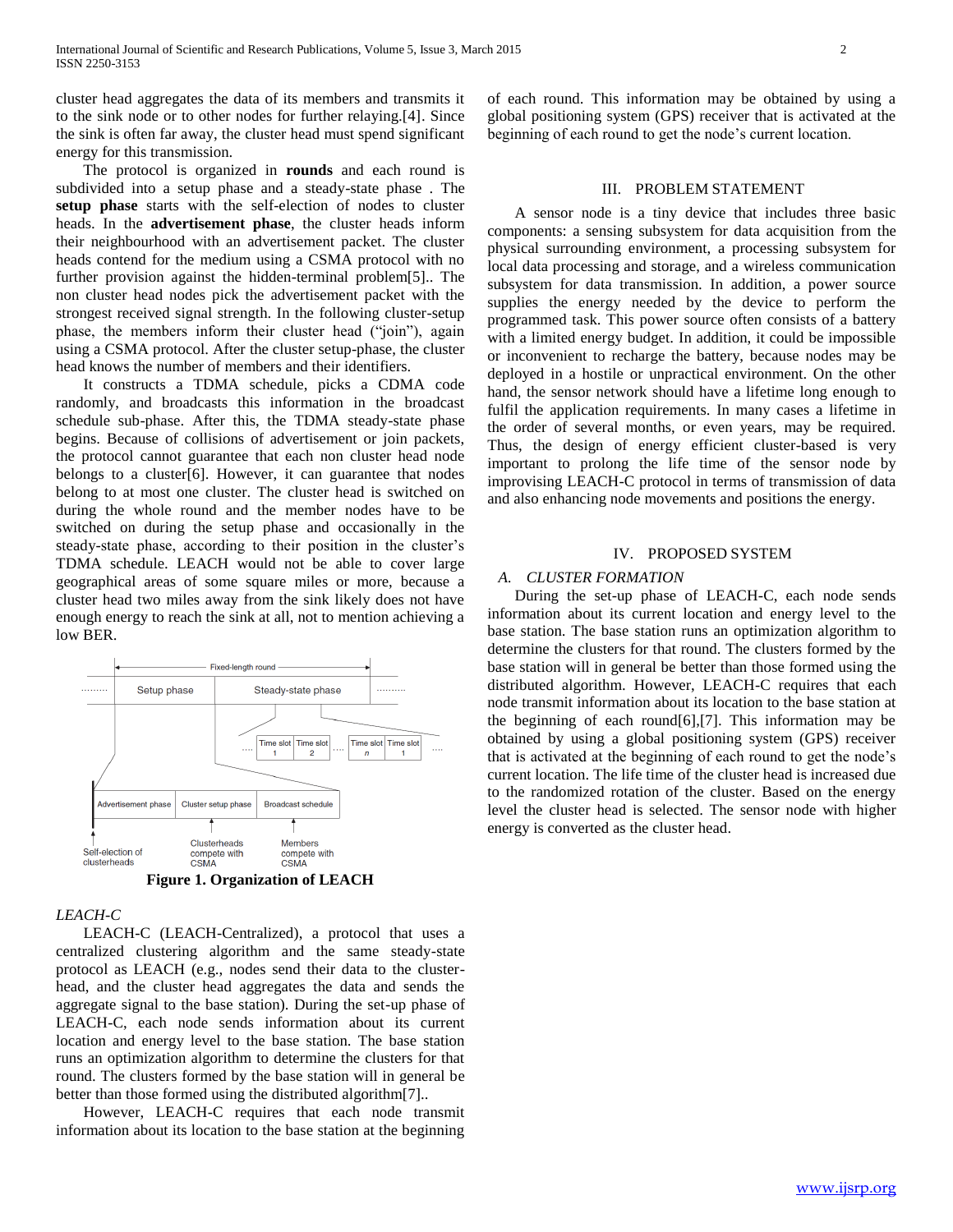cluster head aggregates the data of its members and transmits it to the sink node or to other nodes for further relaying.[4]. Since the sink is often far away, the cluster head must spend significant energy for this transmission.

 The protocol is organized in **rounds** and each round is subdivided into a setup phase and a steady-state phase . The **setup phase** starts with the self-election of nodes to cluster heads. In the **advertisement phase**, the cluster heads inform their neighbourhood with an advertisement packet. The cluster heads contend for the medium using a CSMA protocol with no further provision against the hidden-terminal problem[5].. The non cluster head nodes pick the advertisement packet with the strongest received signal strength. In the following cluster-setup phase, the members inform their cluster head ("join"), again using a CSMA protocol. After the cluster setup-phase, the cluster head knows the number of members and their identifiers.

 It constructs a TDMA schedule, picks a CDMA code randomly, and broadcasts this information in the broadcast schedule sub-phase. After this, the TDMA steady-state phase begins. Because of collisions of advertisement or join packets, the protocol cannot guarantee that each non cluster head node belongs to a cluster[6]. However, it can guarantee that nodes belong to at most one cluster. The cluster head is switched on during the whole round and the member nodes have to be switched on during the setup phase and occasionally in the steady-state phase, according to their position in the cluster's TDMA schedule. LEACH would not be able to cover large geographical areas of some square miles or more, because a cluster head two miles away from the sink likely does not have enough energy to reach the sink at all, not to mention achieving a low BER.



**Figure 1. Organization of LEACH**

# *LEACH-C*

 LEACH-C (LEACH-Centralized), a protocol that uses a centralized clustering algorithm and the same steady-state protocol as LEACH (e.g., nodes send their data to the clusterhead, and the cluster head aggregates the data and sends the aggregate signal to the base station). During the set-up phase of LEACH-C, each node sends information about its current location and energy level to the base station. The base station runs an optimization algorithm to determine the clusters for that round. The clusters formed by the base station will in general be better than those formed using the distributed algorithm[7]..

 However, LEACH-C requires that each node transmit information about its location to the base station at the beginning of each round. This information may be obtained by using a global positioning system (GPS) receiver that is activated at the beginning of each round to get the node's current location.

## III. PROBLEM STATEMENT

 A sensor node is a tiny device that includes three basic components: a sensing subsystem for data acquisition from the physical surrounding environment, a processing subsystem for local data processing and storage, and a wireless communication subsystem for data transmission. In addition, a power source supplies the energy needed by the device to perform the programmed task. This power source often consists of a battery with a limited energy budget. In addition, it could be impossible or inconvenient to recharge the battery, because nodes may be deployed in a hostile or unpractical environment. On the other hand, the sensor network should have a lifetime long enough to fulfil the application requirements. In many cases a lifetime in the order of several months, or even years, may be required. Thus, the design of energy efficient cluster-based is very important to prolong the life time of the sensor node by improvising LEACH-C protocol in terms of transmission of data and also enhancing node movements and positions the energy.

## IV. PROPOSED SYSTEM

## *A. CLUSTER FORMATION*

 During the set-up phase of LEACH-C, each node sends information about its current location and energy level to the base station. The base station runs an optimization algorithm to determine the clusters for that round. The clusters formed by the base station will in general be better than those formed using the distributed algorithm. However, LEACH-C requires that each node transmit information about its location to the base station at the beginning of each round[6],[7]. This information may be obtained by using a global positioning system (GPS) receiver that is activated at the beginning of each round to get the node's current location. The life time of the cluster head is increased due to the randomized rotation of the cluster. Based on the energy level the cluster head is selected. The sensor node with higher energy is converted as the cluster head.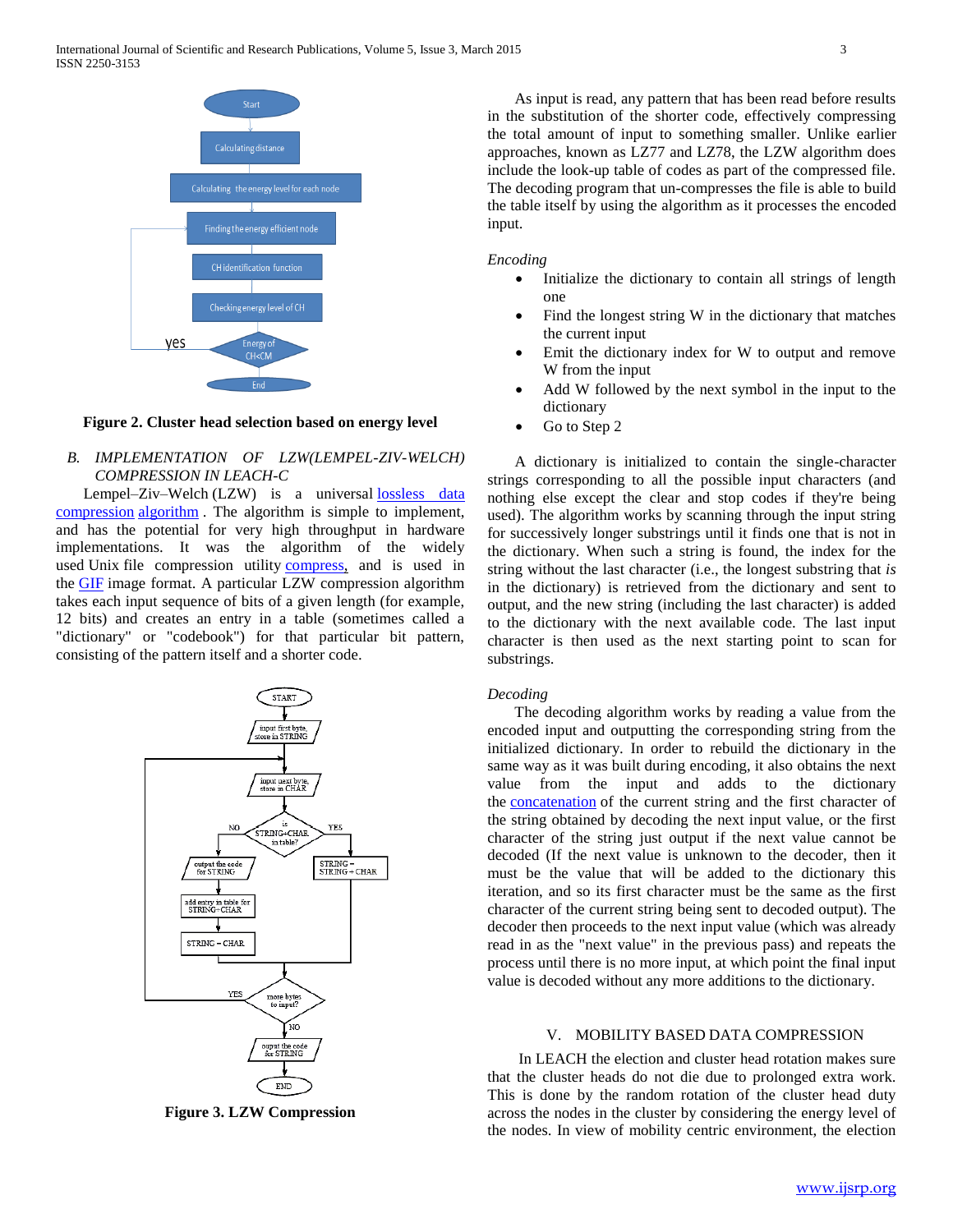

## **Figure 2. Cluster head selection based on energy level**

# *B. IMPLEMENTATION OF LZW(LEMPEL-ZIV-WELCH) COMPRESSION IN LEACH-C*

Lempel–Ziv–Welch (LZW) is a universal lossless data [compression](http://en.wikipedia.org/wiki/Lossless_data_compression) [algorithm](http://en.wikipedia.org/wiki/Algorithm) . The algorithm is simple to implement, and has the potential for very high throughput in hardware implementations. It was the algorithm of the widely used Unix file compression utility [compress,](http://en.wikipedia.org/wiki/Compress) and is used in the [GIF](http://en.wikipedia.org/wiki/GIF) image format. A particular LZW compression algorithm takes each input sequence of bits of a given length (for example, 12 bits) and creates an entry in a table (sometimes called a "dictionary" or "codebook") for that particular bit pattern, consisting of the pattern itself and a shorter code.



**Figure 3. LZW Compression**

 As input is read, any pattern that has been read before results in the substitution of the shorter code, effectively compressing the total amount of input to something smaller. Unlike earlier approaches, known as LZ77 and LZ78, the LZW algorithm does include the look-up table of codes as part of the compressed file. The decoding program that un-compresses the file is able to build the table itself by using the algorithm as it processes the encoded input.

*Encoding*

- Initialize the dictionary to contain all strings of length one
- Find the longest string W in the dictionary that matches the current input
- Emit the dictionary index for W to output and remove W from the input
- Add W followed by the next symbol in the input to the dictionary
- Go to Step 2

 A dictionary is initialized to contain the single-character strings corresponding to all the possible input characters (and nothing else except the clear and stop codes if they're being used). The algorithm works by scanning through the input string for successively longer substrings until it finds one that is not in the dictionary. When such a string is found, the index for the string without the last character (i.e., the longest substring that *is* in the dictionary) is retrieved from the dictionary and sent to output, and the new string (including the last character) is added to the dictionary with the next available code. The last input character is then used as the next starting point to scan for substrings.

# *Decoding*

 The decoding algorithm works by reading a value from the encoded input and outputting the corresponding string from the initialized dictionary. In order to rebuild the dictionary in the same way as it was built during encoding, it also obtains the next value from the input and adds to the dictionary the **[concatenation](http://en.wikipedia.org/wiki/Concatenation)** of the current string and the first character of the string obtained by decoding the next input value, or the first character of the string just output if the next value cannot be decoded (If the next value is unknown to the decoder, then it must be the value that will be added to the dictionary this iteration, and so its first character must be the same as the first character of the current string being sent to decoded output). The decoder then proceeds to the next input value (which was already read in as the "next value" in the previous pass) and repeats the process until there is no more input, at which point the final input value is decoded without any more additions to the dictionary.

## V. MOBILITY BASED DATA COMPRESSION

 In LEACH the election and cluster head rotation makes sure that the cluster heads do not die due to prolonged extra work. This is done by the random rotation of the cluster head duty across the nodes in the cluster by considering the energy level of the nodes. In view of mobility centric environment, the election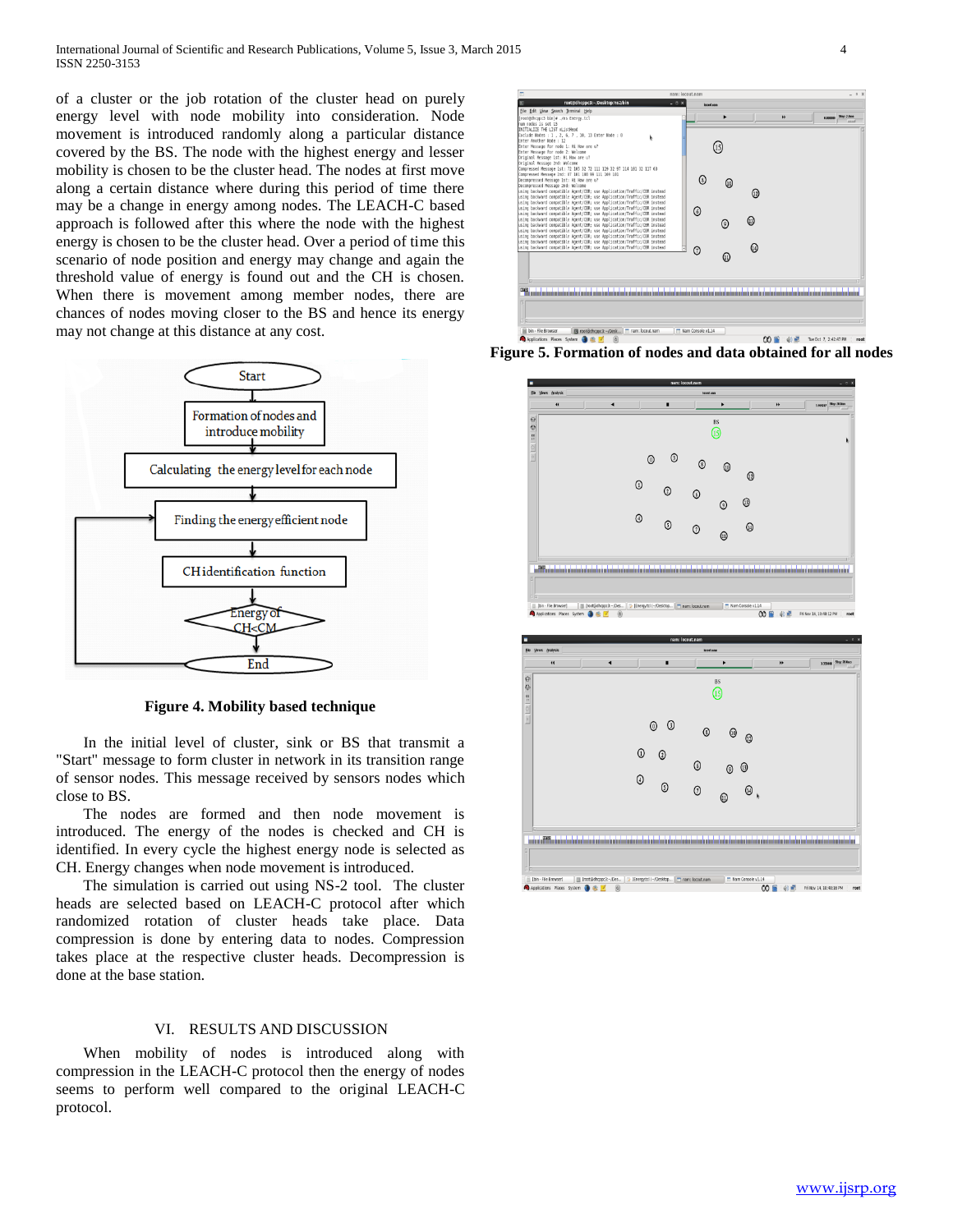of a cluster or the job rotation of the cluster head on purely energy level with node mobility into consideration. Node movement is introduced randomly along a particular distance covered by the BS. The node with the highest energy and lesser mobility is chosen to be the cluster head. The nodes at first move along a certain distance where during this period of time there may be a change in energy among nodes. The LEACH-C based approach is followed after this where the node with the highest energy is chosen to be the cluster head. Over a period of time this scenario of node position and energy may change and again the threshold value of energy is found out and the CH is chosen. When there is movement among member nodes, there are chances of nodes moving closer to the BS and hence its energy may not change at this distance at any cost.



**Figure 4. Mobility based technique**

 In the initial level of cluster, sink or BS that transmit a "Start" message to form cluster in network in its transition range of sensor nodes. This message received by sensors nodes which close to BS.

 The nodes are formed and then node movement is introduced. The energy of the nodes is checked and CH is identified. In every cycle the highest energy node is selected as CH. Energy changes when node movement is introduced.

 The simulation is carried out using NS-2 tool. The cluster heads are selected based on LEACH-C protocol after which randomized rotation of cluster heads take place. Data compression is done by entering data to nodes. Compression takes place at the respective cluster heads. Decompression is done at the base station.

## VI. RESULTS AND DISCUSSION

 When mobility of nodes is introduced along with compression in the LEACH-C protocol then the energy of nodes seems to perform well compared to the original LEACH-C protocol.



**Figure 5. Formation of nodes and data obtained for all nodes**

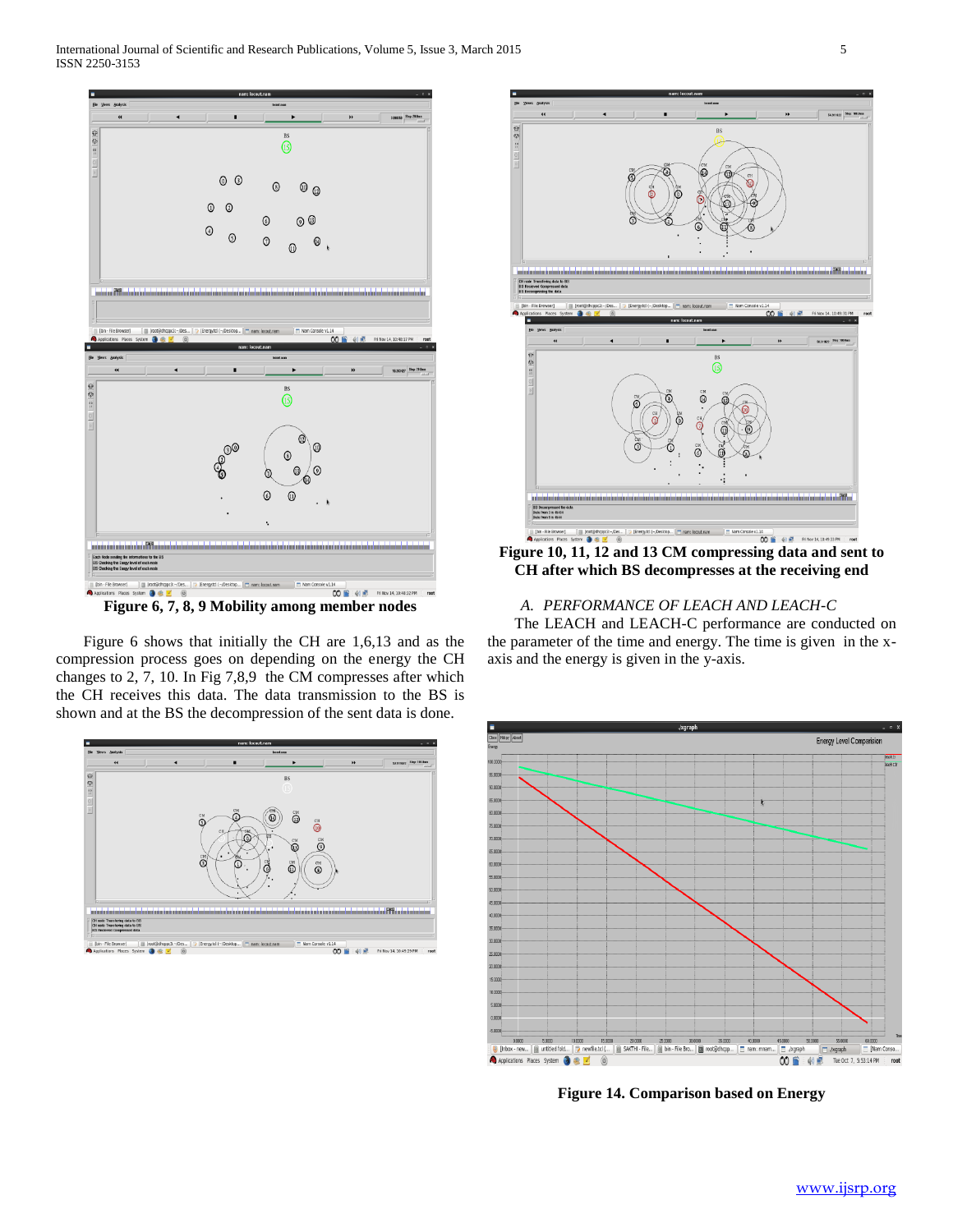International Journal of Scientific and Research Publications, Volume 5, Issue 3, March 2015 5 ISSN 2250-3153



**Figure 6, 7, 8, 9 Mobility among member nodes**

 Figure 6 shows that initially the CH are 1,6,13 and as the compression process goes on depending on the energy the CH changes to 2, 7, 10. In Fig 7,8,9 the CM compresses after which the CH receives this data. The data transmission to the BS is shown and at the BS the decompression of the sent data is done.





**CH after which BS decompresses at the receiving end**

# *A. PERFORMANCE OF LEACH AND LEACH-C*

 The LEACH and LEACH-C performance are conducted on the parameter of the time and energy. The time is given in the xaxis and the energy is given in the y-axis.



**Figure 14. Comparison based on Energy**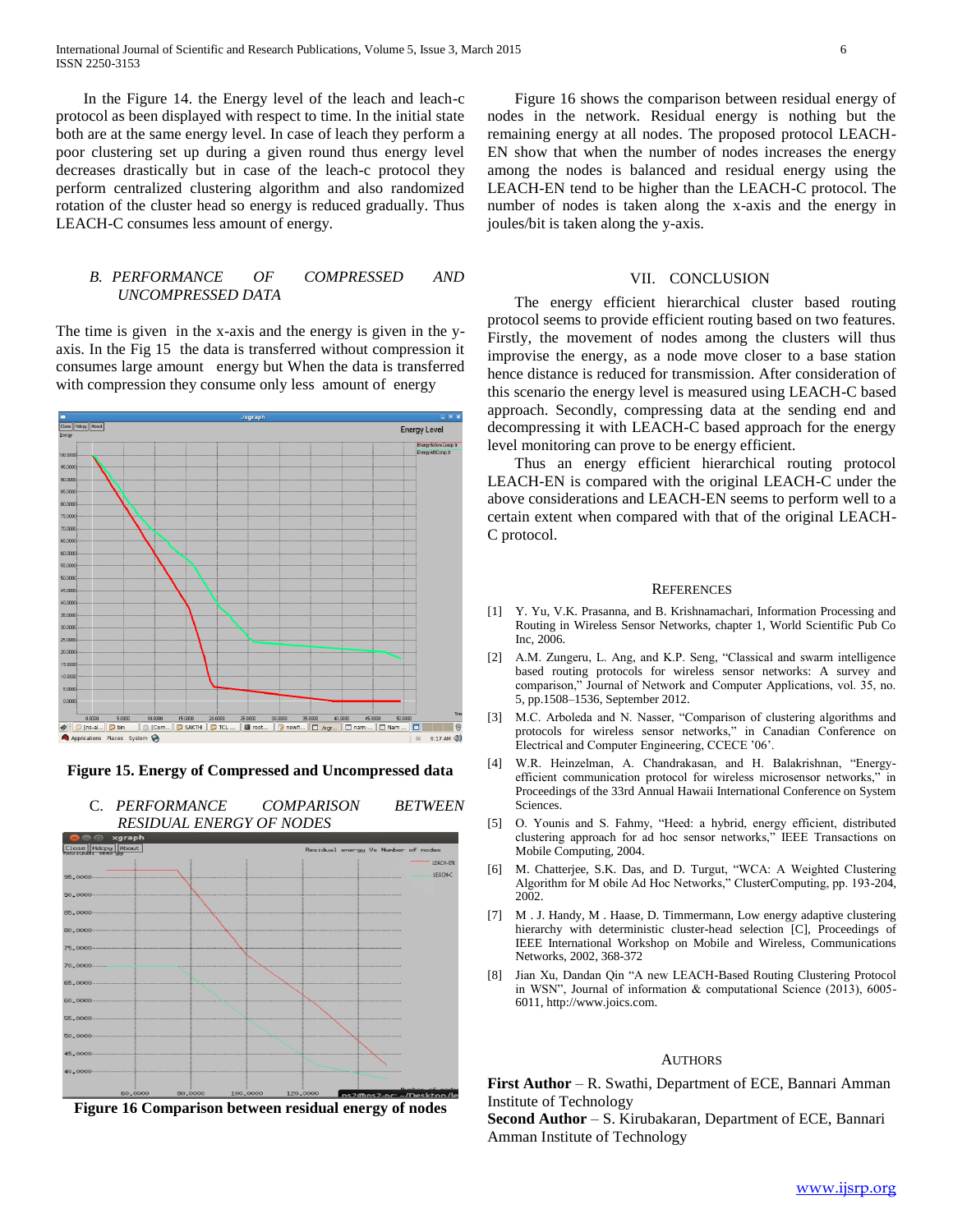International Journal of Scientific and Research Publications, Volume 5, Issue 3, March 2015 6 ISSN 2250-3153

 In the Figure 14. the Energy level of the leach and leach-c protocol as been displayed with respect to time. In the initial state both are at the same energy level. In case of leach they perform a poor clustering set up during a given round thus energy level decreases drastically but in case of the leach-c protocol they perform centralized clustering algorithm and also randomized rotation of the cluster head so energy is reduced gradually. Thus LEACH-C consumes less amount of energy.

# *B. PERFORMANCE OF COMPRESSED AND UNCOMPRESSED DATA*

The time is given in the x-axis and the energy is given in the yaxis. In the Fig 15 the data is transferred without compression it consumes large amount energy but When the data is transferred with compression they consume only less amount of energy



**Figure 15. Energy of Compressed and Uncompressed data**



 Figure 16 shows the comparison between residual energy of nodes in the network. Residual energy is nothing but the remaining energy at all nodes. The proposed protocol LEACH-EN show that when the number of nodes increases the energy among the nodes is balanced and residual energy using the LEACH-EN tend to be higher than the LEACH-C protocol. The number of nodes is taken along the x-axis and the energy in joules/bit is taken along the y-axis.

## VII. CONCLUSION

 The energy efficient hierarchical cluster based routing protocol seems to provide efficient routing based on two features. Firstly, the movement of nodes among the clusters will thus improvise the energy, as a node move closer to a base station hence distance is reduced for transmission. After consideration of this scenario the energy level is measured using LEACH-C based approach. Secondly, compressing data at the sending end and decompressing it with LEACH-C based approach for the energy level monitoring can prove to be energy efficient.

 Thus an energy efficient hierarchical routing protocol LEACH-EN is compared with the original LEACH-C under the above considerations and LEACH-EN seems to perform well to a certain extent when compared with that of the original LEACH-C protocol.

#### **REFERENCES**

- [1] Y. Yu, V.K. Prasanna, and B. Krishnamachari, Information Processing and Routing in Wireless Sensor Networks, chapter 1, World Scientific Pub Co Inc, 2006.
- [2] A.M. Zungeru, L. Ang, and K.P. Seng, "Classical and swarm intelligence based routing protocols for wireless sensor networks: A survey and comparison," Journal of Network and Computer Applications, vol. 35, no. 5, pp.1508–1536, September 2012.
- [3] M.C. Arboleda and N. Nasser, "Comparison of clustering algorithms and protocols for wireless sensor networks," in Canadian Conference on Electrical and Computer Engineering, CCECE '06'.
- [4] W.R. Heinzelman, A. Chandrakasan, and H. Balakrishnan, "Energyefficient communication protocol for wireless microsensor networks," in Proceedings of the 33rd Annual Hawaii International Conference on System Sciences.
- [5] O. Younis and S. Fahmy, "Heed: a hybrid, energy efficient, distributed clustering approach for ad hoc sensor networks," IEEE Transactions on Mobile Computing, 2004.
- [6] M. Chatterjee, S.K. Das, and D. Turgut, "WCA: A Weighted Clustering Algorithm for M obile Ad Hoc Networks," ClusterComputing, pp. 193-204, 2002.
- M . J. Handy, M . Haase, D. Timmermann, Low energy adaptive clustering hierarchy with deterministic cluster-head selection [C], Proceedings of IEEE International Workshop on Mobile and Wireless, Communications Networks, 2002, 368-372
- [8] Jian Xu, Dandan Qin "A new LEACH-Based Routing Clustering Protocol in WSN", Journal of information & computational Science (2013), 6005- 6011, http://www.joics.com.

#### AUTHORS

**First Author** – R. Swathi, Department of ECE, Bannari Amman Institute of Technology

**Second Author** – S. Kirubakaran, Department of ECE, Bannari Amman Institute of Technology